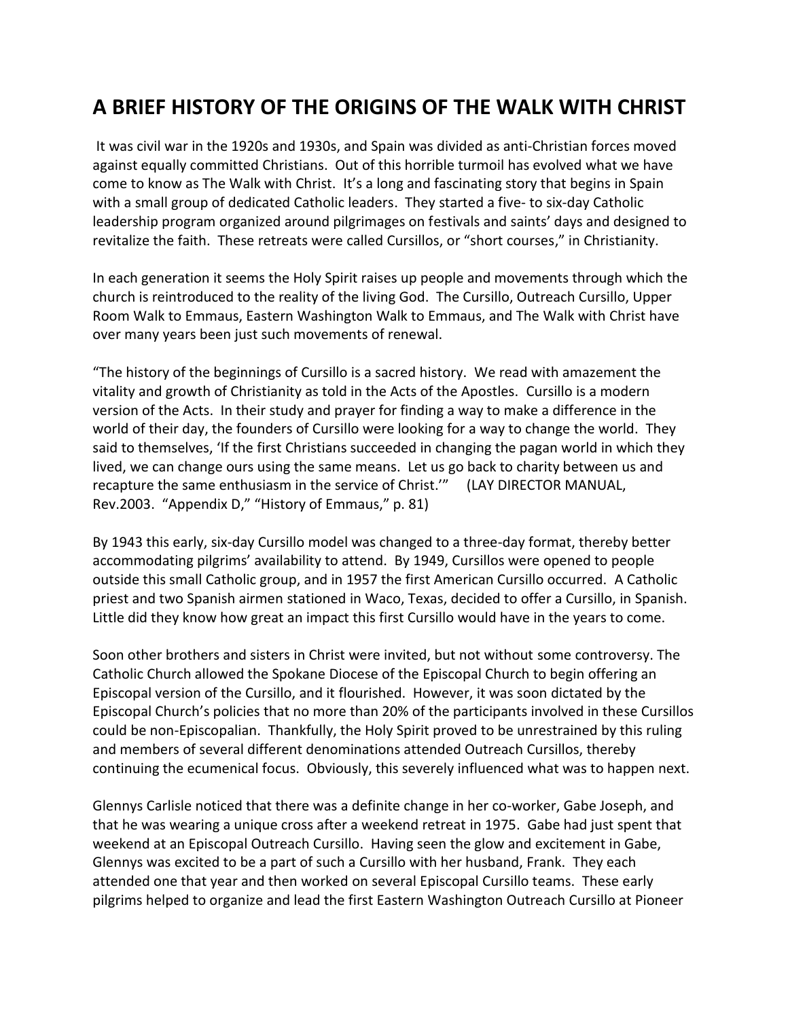## **A BRIEF HISTORY OF THE ORIGINS OF THE WALK WITH CHRIST**

It was civil war in the 1920s and 1930s, and Spain was divided as anti-Christian forces moved against equally committed Christians. Out of this horrible turmoil has evolved what we have come to know as The Walk with Christ. It's a long and fascinating story that begins in Spain with a small group of dedicated Catholic leaders. They started a five- to six-day Catholic leadership program organized around pilgrimages on festivals and saints' days and designed to revitalize the faith. These retreats were called Cursillos, or "short courses," in Christianity.

In each generation it seems the Holy Spirit raises up people and movements through which the church is reintroduced to the reality of the living God. The Cursillo, Outreach Cursillo, Upper Room Walk to Emmaus, Eastern Washington Walk to Emmaus, and The Walk with Christ have over many years been just such movements of renewal.

"The history of the beginnings of Cursillo is a sacred history. We read with amazement the vitality and growth of Christianity as told in the Acts of the Apostles. Cursillo is a modern version of the Acts. In their study and prayer for finding a way to make a difference in the world of their day, the founders of Cursillo were looking for a way to change the world. They said to themselves, 'If the first Christians succeeded in changing the pagan world in which they lived, we can change ours using the same means. Let us go back to charity between us and recapture the same enthusiasm in the service of Christ.'" (LAY DIRECTOR MANUAL, Rev.2003. "Appendix D," "History of Emmaus," p. 81)

By 1943 this early, six-day Cursillo model was changed to a three-day format, thereby better accommodating pilgrims' availability to attend. By 1949, Cursillos were opened to people outside this small Catholic group, and in 1957 the first American Cursillo occurred. A Catholic priest and two Spanish airmen stationed in Waco, Texas, decided to offer a Cursillo, in Spanish. Little did they know how great an impact this first Cursillo would have in the years to come.

Soon other brothers and sisters in Christ were invited, but not without some controversy. The Catholic Church allowed the Spokane Diocese of the Episcopal Church to begin offering an Episcopal version of the Cursillo, and it flourished. However, it was soon dictated by the Episcopal Church's policies that no more than 20% of the participants involved in these Cursillos could be non-Episcopalian. Thankfully, the Holy Spirit proved to be unrestrained by this ruling and members of several different denominations attended Outreach Cursillos, thereby continuing the ecumenical focus. Obviously, this severely influenced what was to happen next.

Glennys Carlisle noticed that there was a definite change in her co-worker, Gabe Joseph, and that he was wearing a unique cross after a weekend retreat in 1975. Gabe had just spent that weekend at an Episcopal Outreach Cursillo. Having seen the glow and excitement in Gabe, Glennys was excited to be a part of such a Cursillo with her husband, Frank. They each attended one that year and then worked on several Episcopal Cursillo teams. These early pilgrims helped to organize and lead the first Eastern Washington Outreach Cursillo at Pioneer